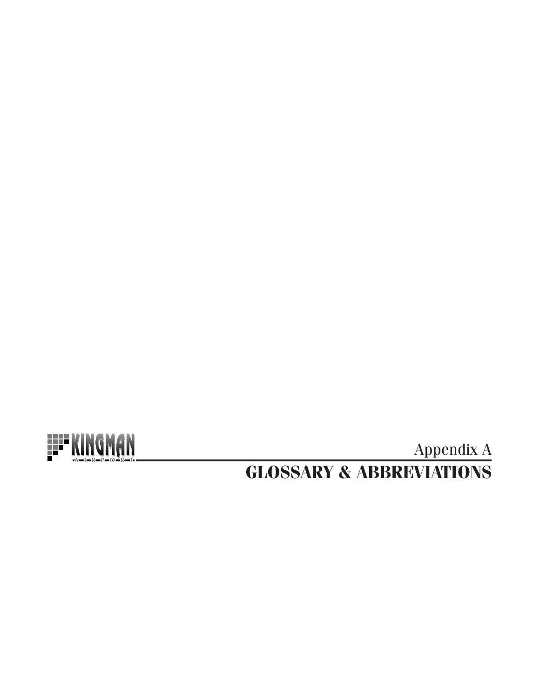

**GLOSSARY & ABBREVIATIONS Appendix A**<br>Appendix A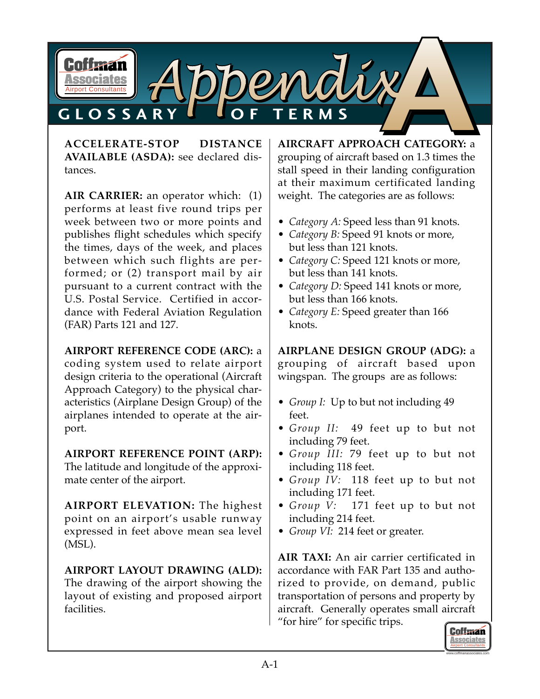

**ACCELERATE-STOP DISTANCE AVAILABLE (ASDA):** see declared distances.

**AIR CARRIER:** an operator which: (1) performs at least five round trips per week between two or more points and publishes flight schedules which specify the times, days of the week, and places between which such flights are performed; or (2) transport mail by air pursuant to a current contract with the U.S. Postal Service. Certified in accordance with Federal Aviation Regulation (FAR) Parts 121 and 127.

### **AIRPORT REFERENCE CODE (ARC):** a

coding system used to relate airport design criteria to the operational (Aircraft Approach Category) to the physical characteristics (Airplane Design Group) of the airplanes intended to operate at the airport.

**AIRPORT REFERENCE POINT (ARP):** The latitude and longitude of the approximate center of the airport.

**AIRPORT ELEVATION:** The highest point on an airport's usable runway expressed in feet above mean sea level (MSL).

**AIRPORT LAYOUT DRAWING (ALD):** The drawing of the airport showing the layout of existing and proposed airport facilities.

**AIRCRAFT APPROACH CATEGORY:** a grouping of aircraft based on 1.3 times the stall speed in their landing configuration at their maximum certificated landing weight. The categories are as follows:

- *Category A:* Speed less than 91 knots.
- *Category B:* Speed 91 knots or more, but less than 121 knots.
- *Category C:* Speed 121 knots or more, but less than 141 knots.
- *Category D:* Speed 141 knots or more, but less than 166 knots.
- *Category E:* Speed greater than 166 knots.

**AIRPLANE DESIGN GROUP (ADG):** a grouping of aircraft based upon wingspan. The groups are as follows:

- *Group I:* Up to but not including 49 feet.
- *Group II:* 49 feet up to but not including 79 feet.
- *Group III:* 79 feet up to but not including 118 feet.
- *Group IV:* 118 feet up to but not including 171 feet.
- *Group V:* 171 feet up to but not including 214 feet.
- *Group VI:* 214 feet or greater.

**AIR TAXI:** An air carrier certificated in accordance with FAR Part 135 and authorized to provide, on demand, public transportation of persons and property by aircraft. Generally operates small aircraft "for hire" for specific trips.

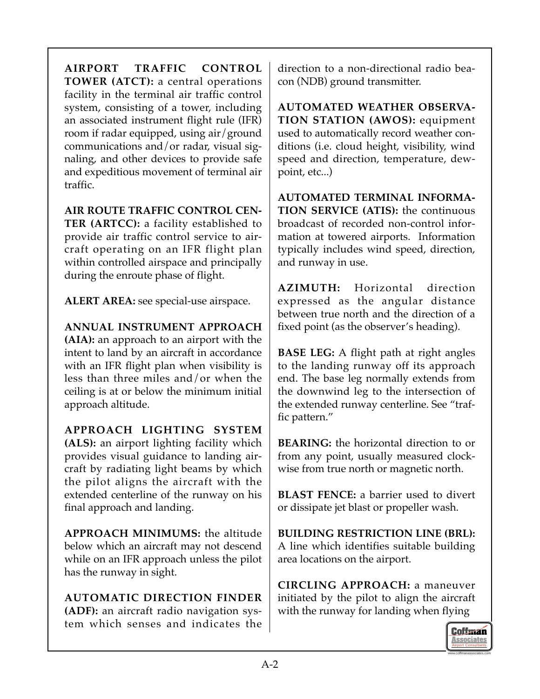**AIRPORT TRAFFIC CONTROL TOWER (ATCT):** a central operations facility in the terminal air traffic control system, consisting of a tower, including an associated instrument flight rule (IFR) room if radar equipped, using air/ground communications and/or radar, visual signaling, and other devices to provide safe and expeditious movement of terminal air traffic.

**AIR ROUTE TRAFFIC CONTROL CEN-TER (ARTCC):** a facility established to provide air traffic control service to aircraft operating on an IFR flight plan within controlled airspace and principally during the enroute phase of flight.

**ALERT AREA:** see special-use airspace.

**ANNUAL INSTRUMENT APPROACH (AIA):** an approach to an airport with the intent to land by an aircraft in accordance with an IFR flight plan when visibility is less than three miles and/or when the ceiling is at or below the minimum initial approach altitude.

**APPROACH LIGHTING SYSTEM (ALS):** an airport lighting facility which provides visual guidance to landing aircraft by radiating light beams by which the pilot aligns the aircraft with the extended centerline of the runway on his final approach and landing.

**APPROACH MINIMUMS:** the altitude below which an aircraft may not descend while on an IFR approach unless the pilot has the runway in sight.

**AUTOMATIC DIRECTION FINDER (ADF):** an aircraft radio navigation system which senses and indicates the

direction to a non-directional radio beacon (NDB) ground transmitter.

**AUTOMATED WEATHER OBSERVA-TION STATION (AWOS):** equipment used to automatically record weather conditions (i.e. cloud height, visibility, wind speed and direction, temperature, dewpoint, etc...)

**AUTOMATED TERMINAL INFORMA-TION SERVICE (ATIS):** the continuous broadcast of recorded non-control information at towered airports. Information typically includes wind speed, direction, and runway in use.

**AZIMUTH:** Horizontal direction expressed as the angular distance between true north and the direction of a fixed point (as the observer's heading).

**BASE LEG:** A flight path at right angles to the landing runway off its approach end. The base leg normally extends from the downwind leg to the intersection of the extended runway centerline. See "traffic pattern."

**BEARING:** the horizontal direction to or from any point, usually measured clockwise from true north or magnetic north.

**BLAST FENCE:** a barrier used to divert or dissipate jet blast or propeller wash.

**BUILDING RESTRICTION LINE (BRL):** A line which identifies suitable building area locations on the airport.

**CIRCLING APPROACH:** a maneuver initiated by the pilot to align the aircraft with the runway for landing when flying

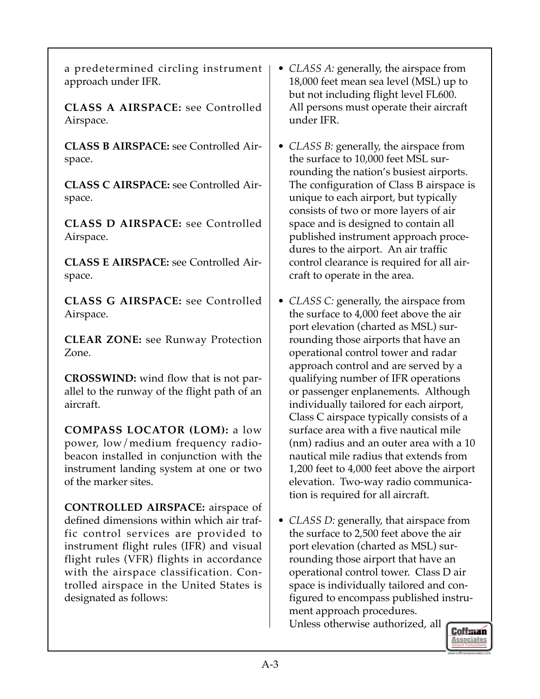a predetermined circling instrument approach under IFR.

**CLASS A AIRSPACE:** see Controlled Airspace.

**CLASS B AIRSPACE:** see Controlled Airspace.

**CLASS C AIRSPACE:** see Controlled Airspace.

**CLASS D AIRSPACE:** see Controlled Airspace.

**CLASS E AIRSPACE:** see Controlled Airspace.

**CLASS G AIRSPACE:** see Controlled Airspace.

**CLEAR ZONE:** see Runway Protection Zone.

**CROSSWIND:** wind flow that is not parallel to the runway of the flight path of an aircraft.

**COMPASS LOCATOR (LOM):** a low power, low/medium frequency radiobeacon installed in conjunction with the instrument landing system at one or two of the marker sites.

**CONTROLLED AIRSPACE:** airspace of defined dimensions within which air traffic control services are provided to instrument flight rules (IFR) and visual flight rules (VFR) flights in accordance with the airspace classification. Controlled airspace in the United States is designated as follows:

- *CLASS A:* generally, the airspace from 18,000 feet mean sea level (MSL) up to but not including flight level FL600. All persons must operate their aircraft under IFR.
- *CLASS B:* generally, the airspace from the surface to 10,000 feet MSL surrounding the nation's busiest airports. The configuration of Class B airspace is unique to each airport, but typically consists of two or more layers of air space and is designed to contain all published instrument approach procedures to the airport. An air traffic control clearance is required for all aircraft to operate in the area.
- *CLASS C:* generally, the airspace from the surface to 4,000 feet above the air port elevation (charted as MSL) surrounding those airports that have an operational control tower and radar approach control and are served by a qualifying number of IFR operations or passenger enplanements. Although individually tailored for each airport, Class C airspace typically consists of a surface area with a five nautical mile (nm) radius and an outer area with a 10 nautical mile radius that extends from 1,200 feet to 4,000 feet above the airport elevation. Two-way radio communication is required for all aircraft.
- *CLASS D:* generally, that airspace from the surface to 2,500 feet above the air port elevation (charted as MSL) surrounding those airport that have an operational control tower. Class D air space is individually tailored and configured to encompass published instrument approach procedures. Unless otherwise authorized, all

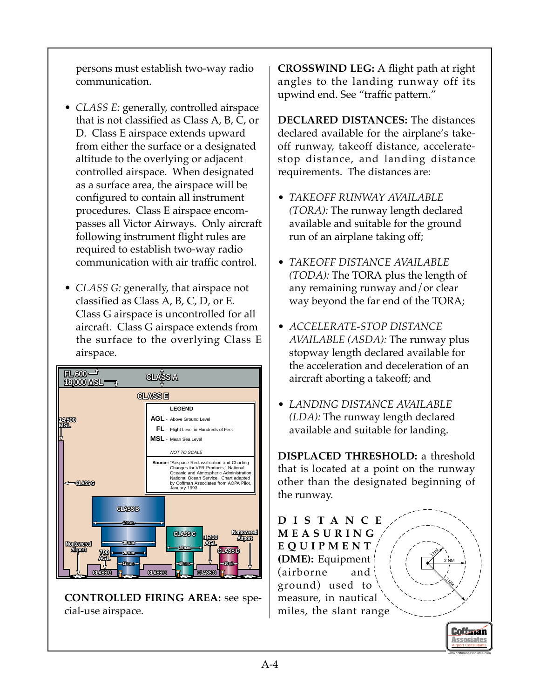persons must establish two-way radio communication.

- *CLASS E:* generally, controlled airspace that is not classified as Class A, B, C, or D. Class E airspace extends upward from either the surface or a designated altitude to the overlying or adjacent controlled airspace. When designated as a surface area, the airspace will be configured to contain all instrument procedures. Class E airspace encompasses all Victor Airways. Only aircraft following instrument flight rules are required to establish two-way radio communication with air traffic control.
- *CLASS G:* generally, that airspace not classified as Class A, B, C, D, or E. Class G airspace is uncontrolled for all aircraft. Class G airspace extends from the surface to the overlying Class E airspace.



**CONTROLLED FIRING AREA:** see special-use airspace.

**CROSSWIND LEG:** A flight path at right angles to the landing runway off its upwind end. See "traffic pattern."

**DECLARED DISTANCES:** The distances declared available for the airplane's takeoff runway, takeoff distance, acceleratestop distance, and landing distance requirements. The distances are:

- *TAKEOFF RUNWAY AVAILABLE (TORA):* The runway length declared available and suitable for the ground run of an airplane taking off;
- *TAKEOFF DISTANCE AVAILABLE (TODA):* The TORA plus the length of any remaining runway and/or clear way beyond the far end of the TORA;
- *ACCELERATE-STOP DISTANCE AVAILABLE (ASDA):* The runway plus stopway length declared available for the acceleration and deceleration of an aircraft aborting a takeoff; and
- *LANDING DISTANCE AVAILABLE (LDA):* The runway length declared available and suitable for landing.

**DISPLACED THRESHOLD:** a threshold that is located at a point on the runway other than the designated beginning of the runway.

**DISTANCE MEASURING EQUIPMENT (DME):** Equipment (airborne and ground) used to measure, in nautical miles, the slant range **1MM** 3<br>My 2 NM

> Airport Consultants www.coffmanassociates.com

**Coffman Associates**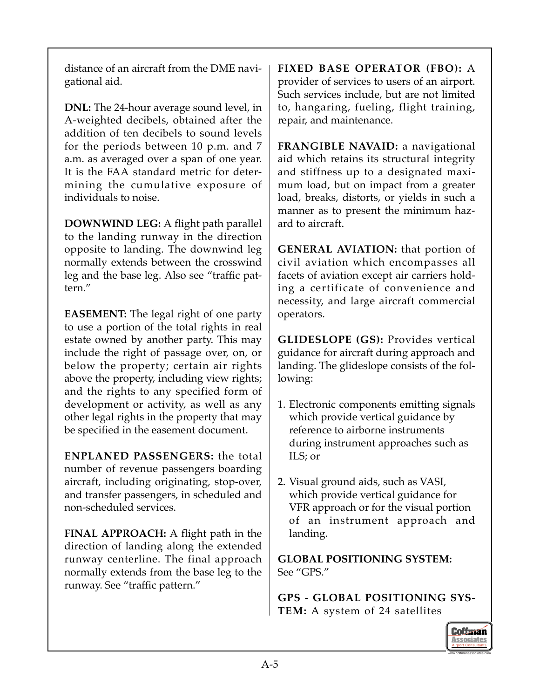distance of an aircraft from the DME navigational aid.

**DNL:** The 24-hour average sound level, in A-weighted decibels, obtained after the addition of ten decibels to sound levels for the periods between 10 p.m. and 7 a.m. as averaged over a span of one year. It is the FAA standard metric for determining the cumulative exposure of individuals to noise.

**DOWNWIND LEG:** A flight path parallel to the landing runway in the direction opposite to landing. The downwind leg normally extends between the crosswind leg and the base leg. Also see "traffic pattern."

**EASEMENT:** The legal right of one party to use a portion of the total rights in real estate owned by another party. This may include the right of passage over, on, or below the property; certain air rights above the property, including view rights; and the rights to any specified form of development or activity, as well as any other legal rights in the property that may be specified in the easement document.

**ENPLANED PASSENGERS:** the total number of revenue passengers boarding aircraft, including originating, stop-over, and transfer passengers, in scheduled and non-scheduled services.

**FINAL APPROACH:** A flight path in the direction of landing along the extended runway centerline. The final approach normally extends from the base leg to the runway. See "traffic pattern."

**FIXED BASE OPERATOR (FBO):** A provider of services to users of an airport. Such services include, but are not limited to, hangaring, fueling, flight training, repair, and maintenance.

**FRANGIBLE NAVAID:** a navigational aid which retains its structural integrity and stiffness up to a designated maximum load, but on impact from a greater load, breaks, distorts, or yields in such a manner as to present the minimum hazard to aircraft.

**GENERAL AVIATION:** that portion of civil aviation which encompasses all facets of aviation except air carriers holding a certificate of convenience and necessity, and large aircraft commercial operators.

**GLIDESLOPE (GS):** Provides vertical guidance for aircraft during approach and landing. The glideslope consists of the following:

- 1. Electronic components emitting signals which provide vertical guidance by reference to airborne instruments during instrument approaches such as ILS; or
- 2. Visual ground aids, such as VASI, which provide vertical guidance for VFR approach or for the visual portion of an instrument approach and landing.

**GLOBAL POSITIONING SYSTEM:** See "GPS."

**GPS - GLOBAL POSITIONING SYS-TEM:** A system of 24 satellites

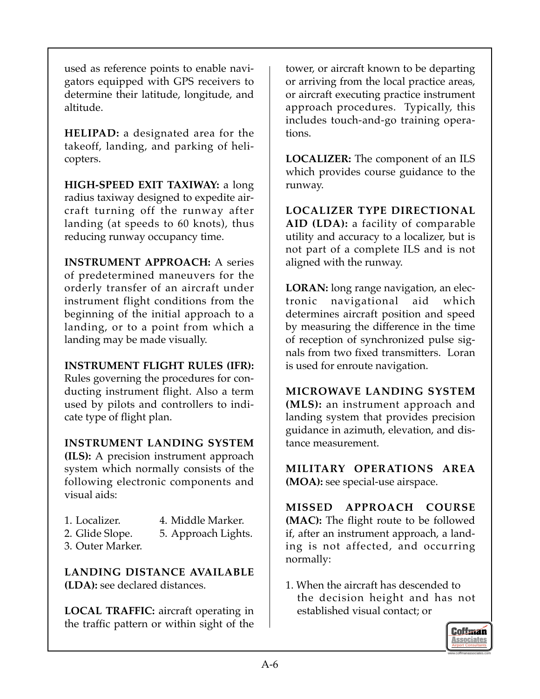used as reference points to enable navigators equipped with GPS receivers to determine their latitude, longitude, and altitude.

**HELIPAD:** a designated area for the takeoff, landing, and parking of helicopters.

**HIGH-SPEED EXIT TAXIWAY:** a long radius taxiway designed to expedite aircraft turning off the runway after landing (at speeds to 60 knots), thus reducing runway occupancy time.

**INSTRUMENT APPROACH:** A series of predetermined maneuvers for the orderly transfer of an aircraft under instrument flight conditions from the beginning of the initial approach to a landing, or to a point from which a landing may be made visually.

### **INSTRUMENT FLIGHT RULES (IFR):**

Rules governing the procedures for conducting instrument flight. Also a term used by pilots and controllers to indicate type of flight plan.

### **INSTRUMENT LANDING SYSTEM**

**(ILS):** A precision instrument approach system which normally consists of the following electronic components and visual aids:

- 
- 1. Localizer. 4. Middle Marker.
- 2. Glide Slope. 5. Approach Lights.
- 3. Outer Marker.

**LANDING DISTANCE AVAILABLE (LDA):** see declared distances.

**LOCAL TRAFFIC:** aircraft operating in the traffic pattern or within sight of the

tower, or aircraft known to be departing or arriving from the local practice areas, or aircraft executing practice instrument approach procedures. Typically, this includes touch-and-go training operations.

**LOCALIZER:** The component of an ILS which provides course guidance to the runway.

**LOCALIZER TYPE DIRECTIONAL AID (LDA):** a facility of comparable utility and accuracy to a localizer, but is not part of a complete ILS and is not aligned with the runway.

**LORAN:** long range navigation, an electronic navigational aid which determines aircraft position and speed by measuring the difference in the time of reception of synchronized pulse signals from two fixed transmitters. Loran is used for enroute navigation.

**MICROWAVE LANDING SYSTEM (MLS):** an instrument approach and landing system that provides precision guidance in azimuth, elevation, and distance measurement.

**MILITARY OPERATIONS AREA (MOA):** see special-use airspace.

**MISSED APPROACH COURSE (MAC):** The flight route to be followed if, after an instrument approach, a landing is not affected, and occurring normally:

1. When the aircraft has descended to the decision height and has not established visual contact; or

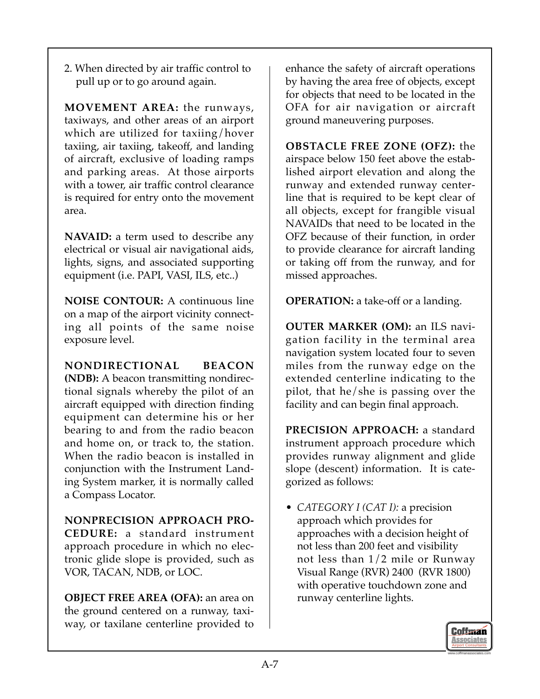2. When directed by air traffic control to pull up or to go around again.

**MOVEMENT AREA:** the runways, taxiways, and other areas of an airport which are utilized for taxiing/hover taxiing, air taxiing, takeoff, and landing of aircraft, exclusive of loading ramps and parking areas. At those airports with a tower, air traffic control clearance is required for entry onto the movement area.

**NAVAID:** a term used to describe any electrical or visual air navigational aids, lights, signs, and associated supporting equipment (i.e. PAPI, VASI, ILS, etc..)

**NOISE CONTOUR:** A continuous line on a map of the airport vicinity connecting all points of the same noise exposure level.

**NONDIRECTIONAL BEACON (NDB):** A beacon transmitting nondirectional signals whereby the pilot of an aircraft equipped with direction finding equipment can determine his or her bearing to and from the radio beacon and home on, or track to, the station. When the radio beacon is installed in conjunction with the Instrument Landing System marker, it is normally called a Compass Locator.

**NONPRECISION APPROACH PRO-CEDURE:** a standard instrument approach procedure in which no electronic glide slope is provided, such as VOR, TACAN, NDB, or LOC.

**OBJECT FREE AREA (OFA):** an area on the ground centered on a runway, taxiway, or taxilane centerline provided to

enhance the safety of aircraft operations by having the area free of objects, except for objects that need to be located in the OFA for air navigation or aircraft ground maneuvering purposes.

**OBSTACLE FREE ZONE (OFZ):** the airspace below 150 feet above the established airport elevation and along the runway and extended runway centerline that is required to be kept clear of all objects, except for frangible visual NAVAIDs that need to be located in the OFZ because of their function, in order to provide clearance for aircraft landing or taking off from the runway, and for missed approaches.

**OPERATION:** a take-off or a landing.

**OUTER MARKER (OM):** an ILS navigation facility in the terminal area navigation system located four to seven miles from the runway edge on the extended centerline indicating to the pilot, that he/she is passing over the facility and can begin final approach.

**PRECISION APPROACH:** a standard instrument approach procedure which provides runway alignment and glide slope (descent) information. It is categorized as follows:

• *CATEGORY I (CAT I):* a precision approach which provides for approaches with a decision height of not less than 200 feet and visibility not less than 1/2 mile or Runway Visual Range (RVR) 2400 (RVR 1800) with operative touchdown zone and runway centerline lights.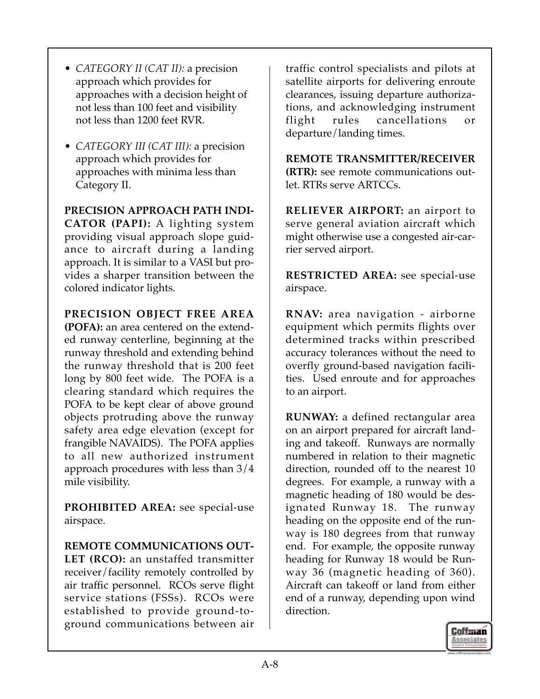- *CATEGORY II (CAT II):* a precision approach which provides for approaches with a decision height of not less than 100 feet and visibility not less than 1200 feet RVR.
- *CATEGORY III (CAT III):* a precision approach which provides for approaches with minima less than Category II.

**PRECISION APPROACH PATH INDI-CATOR (PAPI):** A lighting system providing visual approach slope guidance to aircraft during a landing approach. It is similar to a VASI but provides a sharper transition between the colored indicator lights.

**PRECISION OBJECT FREE AREA**

**(POFA):** an area centered on the extended runway centerline, beginning at the runway threshold and extending behind the runway threshold that is 200 feet long by 800 feet wide. The POFA is a clearing standard which requires the POFA to be kept clear of above ground objects protruding above the runway safety area edge elevation (except for frangible NAVAIDS). The POFA applies to all new authorized instrument approach procedures with less than 3/4 mile visibility.

**PROHIBITED AREA:** see special-use airspace.

**REMOTE COMMUNICATIONS OUT-LET (RCO):** an unstaffed transmitter receiver/facility remotely controlled by air traffic personnel. RCOs serve flight service stations (FSSs). RCOs were established to provide ground-toground communications between air

traffic control specialists and pilots at satellite airports for delivering enroute clearances, issuing departure authorizations, and acknowledging instrument flight rules cancellations or departure/landing times.

**REMOTE TRANSMITTER/RECEIVER (RTR):** see remote communications outlet. RTRs serve ARTCCs.

**RELIEVER AIRPORT:** an airport to serve general aviation aircraft which might otherwise use a congested air-carrier served airport.

**RESTRICTED AREA:** see special-use airspace.

**RNAV:** area navigation - airborne equipment which permits flights over determined tracks within prescribed accuracy tolerances without the need to overfly ground-based navigation facilities. Used enroute and for approaches to an airport.

**RUNWAY:** a defined rectangular area on an airport prepared for aircraft landing and takeoff. Runways are normally numbered in relation to their magnetic direction, rounded off to the nearest 10 degrees. For example, a runway with a magnetic heading of 180 would be designated Runway 18. The runway heading on the opposite end of the runway is 180 degrees from that runway end. For example, the opposite runway heading for Runway 18 would be Runway 36 (magnetic heading of 360). Aircraft can takeoff or land from either end of a runway, depending upon wind direction.

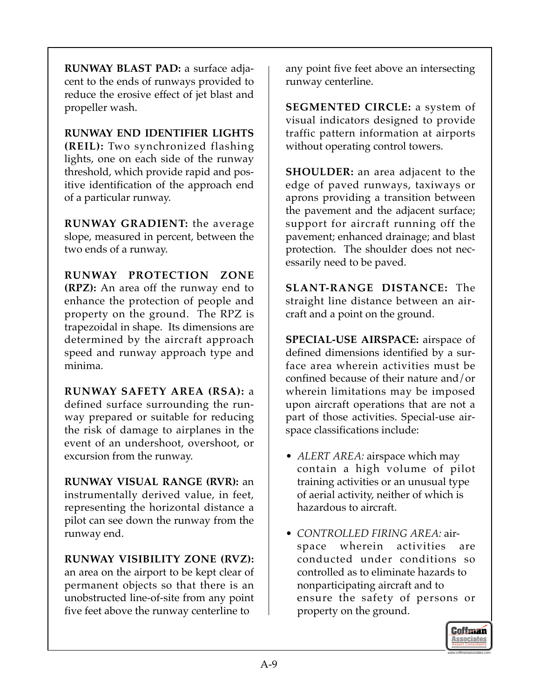**RUNWAY BLAST PAD:** a surface adjacent to the ends of runways provided to reduce the erosive effect of jet blast and propeller wash.

**RUNWAY END IDENTIFIER LIGHTS (REIL):** Two synchronized flashing lights, one on each side of the runway threshold, which provide rapid and positive identification of the approach end of a particular runway.

**RUNWAY GRADIENT:** the average slope, measured in percent, between the two ends of a runway.

**RUNWAY PROTECTION ZONE (RPZ):** An area off the runway end to enhance the protection of people and property on the ground. The RPZ is trapezoidal in shape. Its dimensions are determined by the aircraft approach speed and runway approach type and minima.

**RUNWAY SAFETY AREA (RSA):** a defined surface surrounding the runway prepared or suitable for reducing the risk of damage to airplanes in the event of an undershoot, overshoot, or excursion from the runway.

**RUNWAY VISUAL RANGE (RVR):** an instrumentally derived value, in feet, representing the horizontal distance a pilot can see down the runway from the runway end.

**RUNWAY VISIBILITY ZONE (RVZ):** an area on the airport to be kept clear of permanent objects so that there is an unobstructed line-of-site from any point five feet above the runway centerline to

any point five feet above an intersecting runway centerline.

**SEGMENTED CIRCLE:** a system of visual indicators designed to provide traffic pattern information at airports without operating control towers.

**SHOULDER:** an area adjacent to the edge of paved runways, taxiways or aprons providing a transition between the pavement and the adjacent surface; support for aircraft running off the pavement; enhanced drainage; and blast protection. The shoulder does not necessarily need to be paved.

**SLANT-RANGE DISTANCE:** The straight line distance between an aircraft and a point on the ground.

**SPECIAL-USE AIRSPACE:** airspace of defined dimensions identified by a surface area wherein activities must be confined because of their nature and/or wherein limitations may be imposed upon aircraft operations that are not a part of those activities. Special-use airspace classifications include:

- *ALERT AREA:* airspace which may contain a high volume of pilot training activities or an unusual type of aerial activity, neither of which is hazardous to aircraft.
- *CONTROLLED FIRING AREA:* airspace wherein activities are conducted under conditions so controlled as to eliminate hazards to nonparticipating aircraft and to ensure the safety of persons or property on the ground.

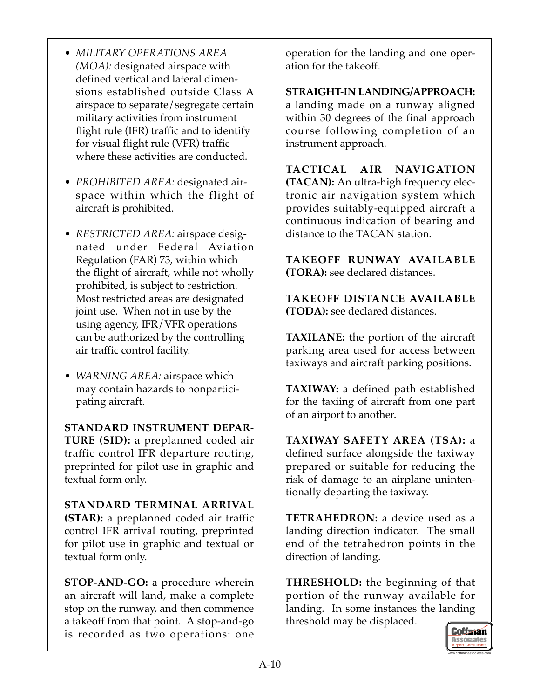- *MILITARY OPERATIONS AREA (MOA):* designated airspace with defined vertical and lateral dimensions established outside Class A airspace to separate/segregate certain military activities from instrument flight rule (IFR) traffic and to identify for visual flight rule (VFR) traffic where these activities are conducted.
- *PROHIBITED AREA:* designated airspace within which the flight of aircraft is prohibited.
- *RESTRICTED AREA:* airspace designated under Federal Aviation Regulation (FAR) 73, within which the flight of aircraft, while not wholly prohibited, is subject to restriction. Most restricted areas are designated joint use. When not in use by the using agency, IFR/VFR operations can be authorized by the controlling air traffic control facility.
- *WARNING AREA:* airspace which may contain hazards to nonparticipating aircraft.

**STANDARD INSTRUMENT DEPAR-TURE (SID):** a preplanned coded air traffic control IFR departure routing, preprinted for pilot use in graphic and textual form only.

**STANDARD TERMINAL ARRIVAL (STAR):** a preplanned coded air traffic control IFR arrival routing, preprinted for pilot use in graphic and textual or textual form only.

**STOP-AND-GO:** a procedure wherein an aircraft will land, make a complete stop on the runway, and then commence a takeoff from that point. A stop-and-go is recorded as two operations: one

operation for the landing and one operation for the takeoff.

**STRAIGHT-IN LANDING/APPROACH:** a landing made on a runway aligned within 30 degrees of the final approach course following completion of an instrument approach.

**TACTICAL AIR NAVIGATION (TACAN):** An ultra-high frequency electronic air navigation system which provides suitably-equipped aircraft a continuous indication of bearing and distance to the TACAN station.

**TAKEOFF RUNWAY AVAILABLE (TORA):** see declared distances.

**TAKEOFF DISTANCE AVAILABLE (TODA):** see declared distances.

**TAXILANE:** the portion of the aircraft parking area used for access between taxiways and aircraft parking positions.

**TAXIWAY:** a defined path established for the taxiing of aircraft from one part of an airport to another.

**TAXIWAY SAFETY AREA (TSA):** a defined surface alongside the taxiway prepared or suitable for reducing the risk of damage to an airplane unintentionally departing the taxiway.

**TETRAHEDRON:** a device used as a landing direction indicator. The small end of the tetrahedron points in the direction of landing.

**THRESHOLD:** the beginning of that portion of the runway available for landing. In some instances the landing threshold may be displaced.

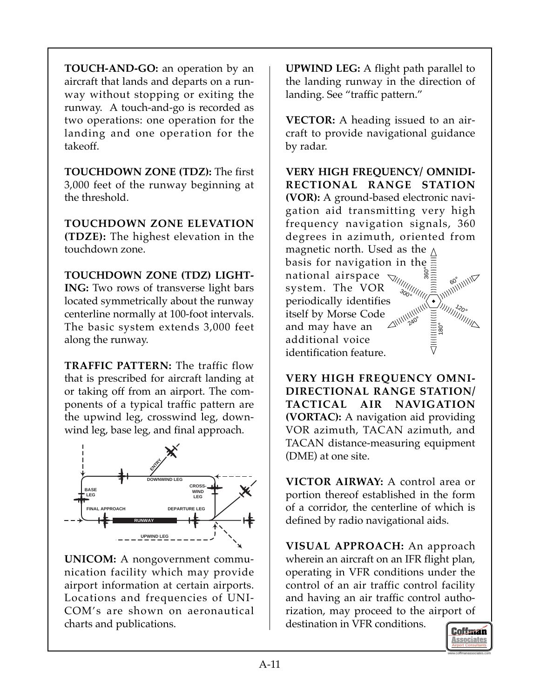**TOUCH-AND-GO:** an operation by an aircraft that lands and departs on a runway without stopping or exiting the runway. A touch-and-go is recorded as two operations: one operation for the landing and one operation for the takeoff.

**TOUCHDOWN ZONE (TDZ):** The first 3,000 feet of the runway beginning at the threshold.

**TOUCHDOWN ZONE ELEVATION (TDZE):** The highest elevation in the touchdown zone.

**TOUCHDOWN ZONE (TDZ) LIGHT-ING:** Two rows of transverse light bars located symmetrically about the runway centerline normally at 100-foot intervals. The basic system extends 3,000 feet along the runway.

**TRAFFIC PATTERN:** The traffic flow that is prescribed for aircraft landing at or taking off from an airport. The components of a typical traffic pattern are the upwind leg, crosswind leg, downwind leg, base leg, and final approach.



**UNICOM:** A nongovernment communication facility which may provide airport information at certain airports. Locations and frequencies of UNI-COM's are shown on aeronautical charts and publications.

**UPWIND LEG:** A flight path parallel to the landing runway in the direction of landing. See "traffic pattern."

**VECTOR:** A heading issued to an aircraft to provide navigational guidance by radar.

**VERY HIGH FREQUENCY/ OMNIDI-RECTIONAL RANGE STATION (VOR):** A ground-based electronic navigation aid transmitting very high frequency navigation signals, 360 degrees in azimuth, oriented from magnetic north. Used as the  $\wedge$ basis for navigation in the 。<br>360 national airspace  $e_{\mathcal{O}_j}$ system. The VOR  $3o<sub>O</sub>$ periodically identifies  $7 - 20$ ||шпиник itself by Morse Code  $240$ and may have an 180 ° additional voice identification feature.

**VERY HIGH FREQUENCY OMNI-DIRECTIONAL RANGE STATION/ TACTICAL AIR NAVIGATION (VORTAC):** A navigation aid providing VOR azimuth, TACAN azimuth, and TACAN distance-measuring equipment (DME) at one site.

**VICTOR AIRWAY:** A control area or portion thereof established in the form of a corridor, the centerline of which is defined by radio navigational aids.

**VISUAL APPROACH:** An approach wherein an aircraft on an IFR flight plan, operating in VFR conditions under the control of an air traffic control facility and having an air traffic control authorization, may proceed to the airport of destination in VFR conditions.

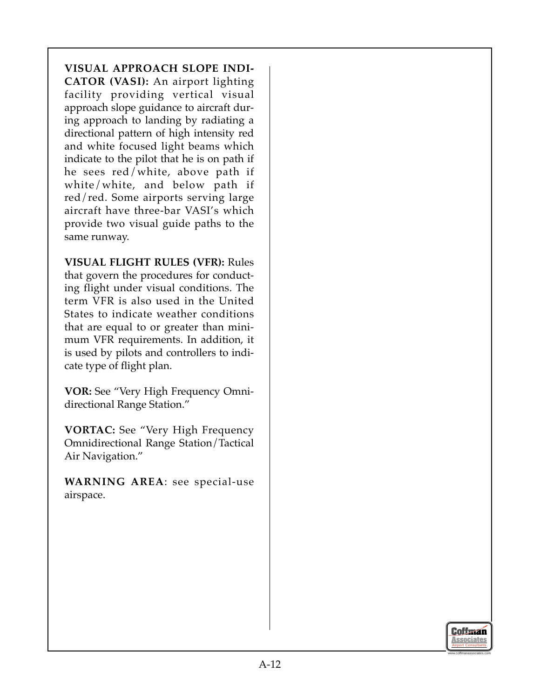## **VISUAL APPROACH SLOPE INDI-**

**CATOR (VASI):** An airport lighting facility providing vertical visual approach slope guidance to aircraft during approach to landing by radiating a directional pattern of high intensity red and white focused light beams which indicate to the pilot that he is on path if he sees red/white, above path if white/white, and below path if red/red. Some airports serving large aircraft have three-bar VASI's which provide two visual guide paths to the same runway.

**VISUAL FLIGHT RULES (VFR):** Rules that govern the procedures for conducting flight under visual conditions. The term VFR is also used in the United States to indicate weather conditions that are equal to or greater than minimum VFR requirements. In addition, it is used by pilots and controllers to indicate type of flight plan.

**VOR:** See "Very High Frequency Omnidirectional Range Station."

**VORTAC:** See "Very High Frequency Omnidirectional Range Station/Tactical Air Navigation."

**WARNING AREA**: see special-use airspace.

www.coffmanassociates.com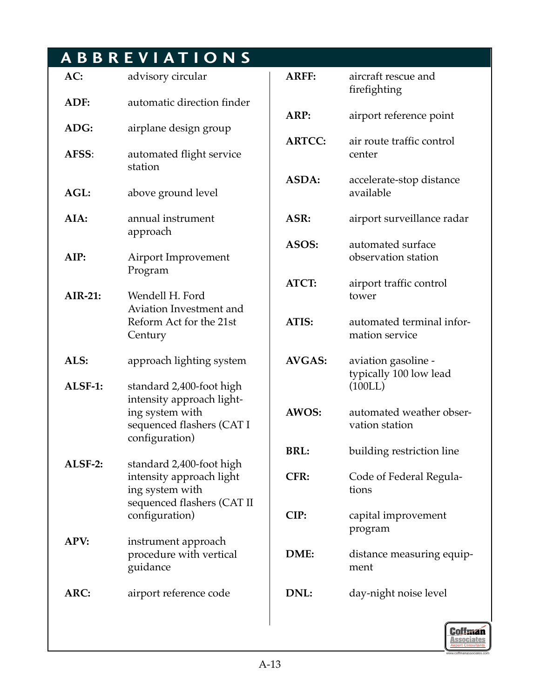# **ABBREVIATIONS**

| AC:         | advisory circular                                                                                                       |
|-------------|-------------------------------------------------------------------------------------------------------------------------|
| ADF:        | automatic direction finder                                                                                              |
| ADG:        | airplane design group                                                                                                   |
| AFSS:       | automated flight service<br>station                                                                                     |
| AGL:        | above ground level                                                                                                      |
| AIA:        | annual instrument<br>approach                                                                                           |
| AIP:        | Airport Improvement<br>Program                                                                                          |
| $AIR-21:$   | Wendell H. Ford<br><b>Aviation Investment and</b><br>Reform Act for the 21st<br>Century                                 |
|             |                                                                                                                         |
| ALS:        | approach lighting system                                                                                                |
| ALSF-1:     | standard 2,400-foot high<br>intensity approach light-<br>ing system with<br>sequenced flashers (CAT I<br>configuration) |
| ALSF-2:     | standard 2,400-foot high<br>intensity approach light<br>ing system with<br>sequenced flashers (CAT II<br>configuration) |
| <b>APV:</b> | instrument approach<br>procedure with vertical<br>guidance                                                              |

| <b>ARFF:</b>  | aircraft rescue and<br>firefighting                      |
|---------------|----------------------------------------------------------|
| ARP:          | airport reference point                                  |
| <b>ARTCC:</b> | air route traffic control<br>center                      |
| ASDA:         | accelerate-stop distance<br>available                    |
| ASR:          | airport surveillance radar                               |
| ASOS:         | automated surface<br>observation station                 |
| <b>ATCT:</b>  | airport traffic control<br>tower                         |
| ATIS:         | automated terminal infor-<br>mation service              |
| <b>AVGAS:</b> | aviation gasoline -<br>typically 100 low lead<br>(100LL) |
| AWOS:         | automated weather obser-<br>vation station               |
| <b>BRL:</b>   | building restriction line                                |
| <b>CFR:</b>   | Code of Federal Regula-<br>tions                         |
| CIP:          | capital improvement<br>program                           |
| DME:          | distance measuring equip-<br>ment                        |
| DNL:          | day-night noise level                                    |

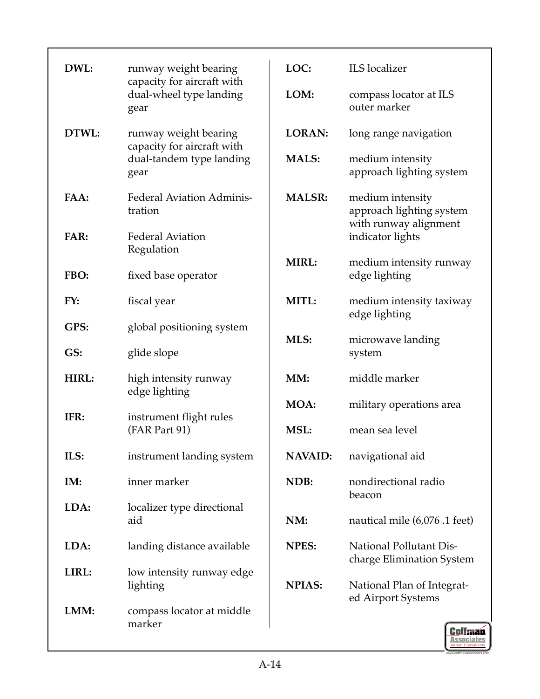| DWL:  | runway weight bearing                                         | LOC:           | <b>ILS</b> localizer                                                  |  |
|-------|---------------------------------------------------------------|----------------|-----------------------------------------------------------------------|--|
|       | capacity for aircraft with<br>dual-wheel type landing<br>gear | LOM:           | compass locator at ILS<br>outer marker                                |  |
| DTWL: | runway weight bearing<br>capacity for aircraft with           | <b>LORAN:</b>  | long range navigation                                                 |  |
|       | dual-tandem type landing<br>gear                              | <b>MALS:</b>   | medium intensity<br>approach lighting system                          |  |
| FAA:  | <b>Federal Aviation Adminis-</b><br>tration                   | <b>MALSR:</b>  | medium intensity<br>approach lighting system<br>with runway alignment |  |
| FAR:  | <b>Federal Aviation</b><br>Regulation                         |                | indicator lights                                                      |  |
| FBO:  | fixed base operator                                           | <b>MIRL:</b>   | medium intensity runway<br>edge lighting                              |  |
| FY:   | fiscal year                                                   | MITL:          | medium intensity taxiway<br>edge lighting                             |  |
| GPS:  | global positioning system                                     | MLS:           | microwave landing                                                     |  |
| GS:   | glide slope                                                   |                | system                                                                |  |
| HIRL: | high intensity runway<br>edge lighting                        | MM:            | middle marker                                                         |  |
| IFR:  | instrument flight rules                                       | MOA:           | military operations area                                              |  |
|       | (FAR Part 91)                                                 | MSL:           | mean sea level                                                        |  |
| ILS:  | instrument landing system                                     | <b>NAVAID:</b> | navigational aid                                                      |  |
| IM:   | inner marker                                                  | NDB:           | nondirectional radio<br>beacon                                        |  |
| LDA:  | localizer type directional<br>aid                             | NM:            | nautical mile (6,076 .1 feet)                                         |  |
| LDA:  | landing distance available                                    | <b>NPES:</b>   | <b>National Pollutant Dis-</b><br>charge Elimination System           |  |
| LIRL: | low intensity runway edge<br>lighting                         | <b>NPIAS:</b>  | National Plan of Integrat-<br>ed Airport Systems                      |  |
| LMM:  | compass locator at middle<br>marker                           |                | <b>Coffman</b><br>Associates                                          |  |

www.coffmanassociates.com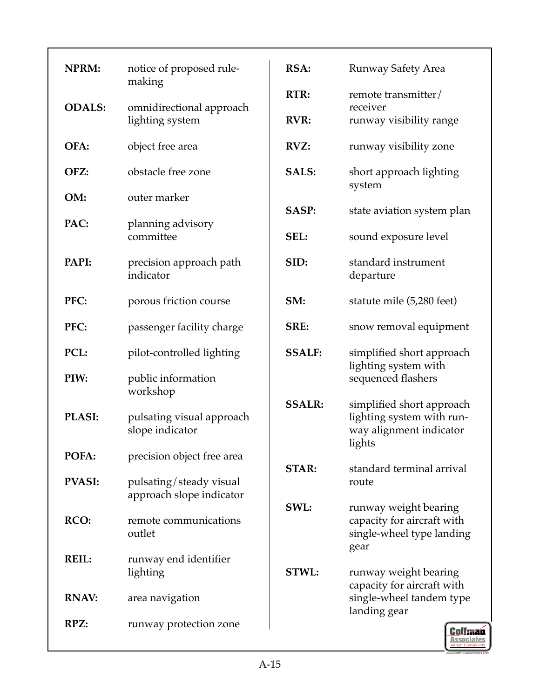| <b>NPRM:</b>  | notice of proposed rule-<br>making           | RSA:          |
|---------------|----------------------------------------------|---------------|
| <b>ODALS:</b> |                                              | RTR:          |
|               | omnidirectional approach<br>lighting system  | <b>RVR:</b>   |
| OFA:          | object free area                             | RVZ:          |
| OFZ:          | obstacle free zone                           | <b>SALS:</b>  |
| OM:           | outer marker                                 | <b>SASP:</b>  |
| PAC:          | planning advisory                            |               |
|               | committee                                    | SEL:          |
| PAPI:         | precision approach path<br>indicator         | SID:          |
| PFC:          | porous friction course                       | SM:           |
| PFC:          | passenger facility charge                    | SRE:          |
| PCL:          | pilot-controlled lighting                    | <b>SSALF:</b> |
| PIW:          | public information<br>workshop               | <b>SSALR:</b> |
| <b>PLASI:</b> | pulsating visual approach<br>slope indicator |               |
| POFA:         | precision object free area                   | <b>STAR:</b>  |
| <b>PVASI:</b> | pulsating/steady visual                      |               |
|               | approach slope indicator                     | SWL:          |
| RCO:          | remote communications<br>outlet              |               |
| <b>REIL:</b>  | runway end identifier<br>lighting            | STWL:         |
| <b>RNAV:</b>  | area navigation                              |               |
| RPZ:          | runway protection zone                       |               |

Airport Consultants www.coffmanassociates.com

**Coffman Associates** 

**Runway Safety Area** 

remote transmitter/

runway visibility range

runway visibility zone

**SALS:** short approach lighting

state aviation system plan

**SEL:** sound exposure level

**SID:** standard instrument

statute mile (5,280 feet)

**SRE:** snow removal equipment

simplified short approach

simplified short approach lighting system with runway alignment indicator

**STAR:** standard terminal arrival

**SWL:** runway weight bearing capacity for aircraft with single-wheel type landing

**STWL:** runway weight bearing capacity for aircraft with single-wheel tandem type

lighting system with sequenced flashers

receiver

system

departure

lights

route

gear

landing gear